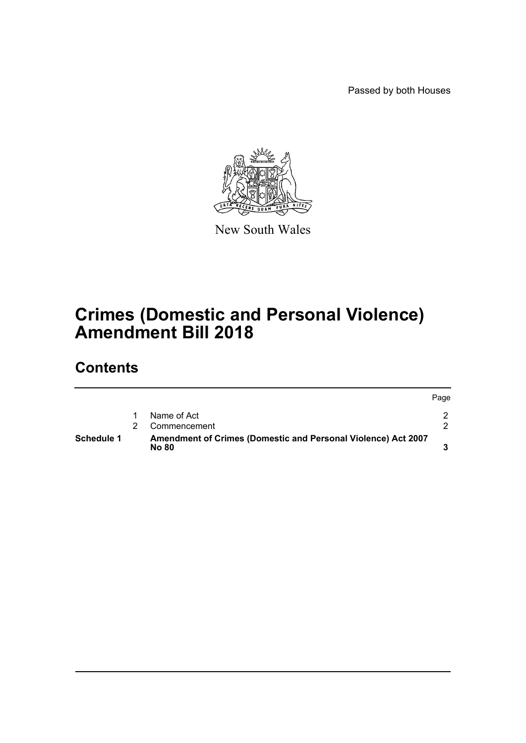Passed by both Houses



New South Wales

## **Crimes (Domestic and Personal Violence) Amendment Bill 2018**

## **Contents**

|                   |                                                                               | Page |
|-------------------|-------------------------------------------------------------------------------|------|
|                   | Name of Act                                                                   |      |
|                   | Commencement                                                                  |      |
| <b>Schedule 1</b> | Amendment of Crimes (Domestic and Personal Violence) Act 2007<br><b>No 80</b> |      |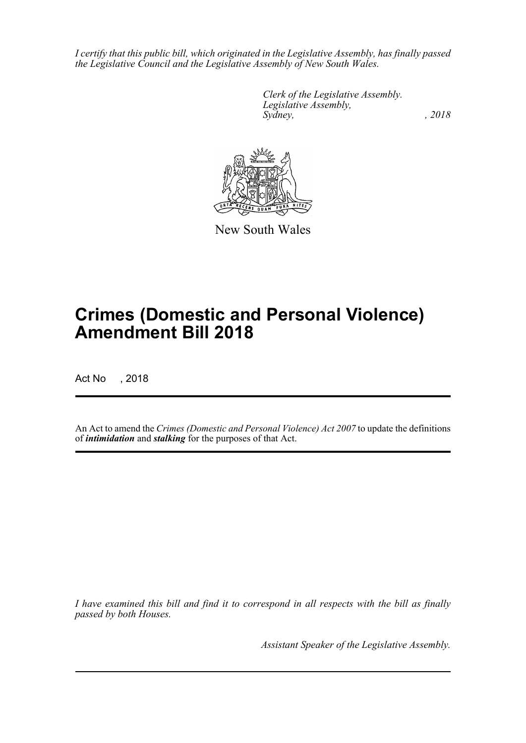*I certify that this public bill, which originated in the Legislative Assembly, has finally passed the Legislative Council and the Legislative Assembly of New South Wales.*

> *Clerk of the Legislative Assembly. Legislative Assembly, Sydney, , 2018*



New South Wales

# **Crimes (Domestic and Personal Violence) Amendment Bill 2018**

Act No , 2018

An Act to amend the *Crimes (Domestic and Personal Violence) Act 2007* to update the definitions of *intimidation* and *stalking* for the purposes of that Act.

*I have examined this bill and find it to correspond in all respects with the bill as finally passed by both Houses.*

*Assistant Speaker of the Legislative Assembly.*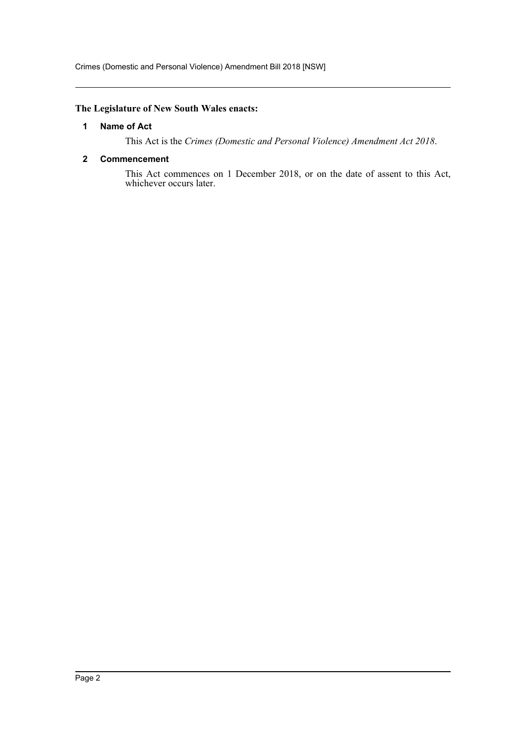#### <span id="page-2-0"></span>**The Legislature of New South Wales enacts:**

#### **1 Name of Act**

This Act is the *Crimes (Domestic and Personal Violence) Amendment Act 2018*.

#### <span id="page-2-1"></span>**2 Commencement**

This Act commences on 1 December 2018, or on the date of assent to this Act, whichever occurs later.